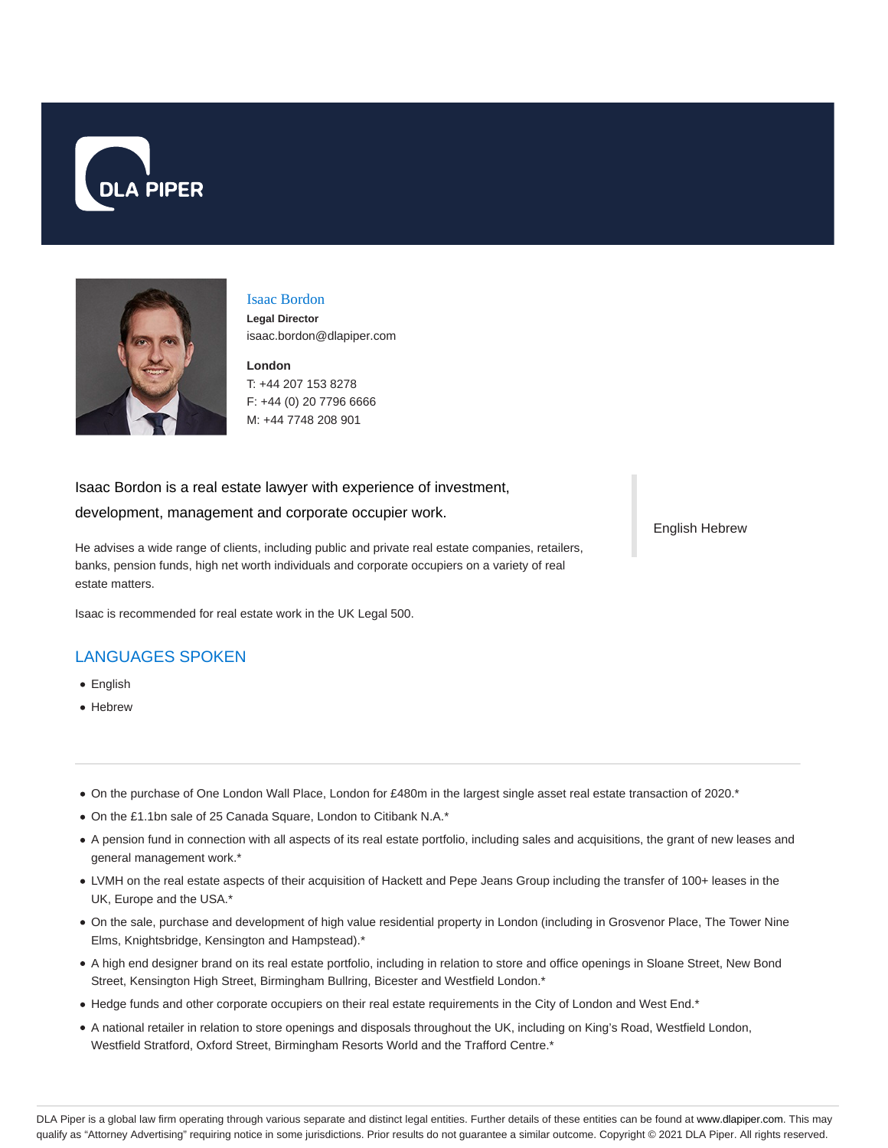



#### Isaac Bordon

**Legal Director** isaac.bordon@dlapiper.com

**London** T: +44 207 153 8278 F: +44 (0) 20 7796 6666 M: +44 7748 208 901

#### Isaac Bordon is a real estate lawyer with experience of investment,

development, management and corporate occupier work.

He advises a wide range of clients, including public and private real estate companies, retailers, banks, pension funds, high net worth individuals and corporate occupiers on a variety of real estate matters.

Isaac is recommended for real estate work in the UK Legal 500.

# LANGUAGES SPOKEN

- English
- Hebrew
- On the purchase of One London Wall Place, London for £480m in the largest single asset real estate transaction of 2020.\*
- On the £1.1bn sale of 25 Canada Square, London to Citibank N.A.\*
- A pension fund in connection with all aspects of its real estate portfolio, including sales and acquisitions, the grant of new leases and general management work.\*
- LVMH on the real estate aspects of their acquisition of Hackett and Pepe Jeans Group including the transfer of 100+ leases in the UK, Europe and the USA.\*
- On the sale, purchase and development of high value residential property in London (including in Grosvenor Place, The Tower Nine Elms, Knightsbridge, Kensington and Hampstead).\*
- A high end designer brand on its real estate portfolio, including in relation to store and office openings in Sloane Street, New Bond Street, Kensington High Street, Birmingham Bullring, Bicester and Westfield London.\*
- Hedge funds and other corporate occupiers on their real estate requirements in the City of London and West End.\*
- A national retailer in relation to store openings and disposals throughout the UK, including on King's Road, Westfield London, Westfield Stratford, Oxford Street, Birmingham Resorts World and the Trafford Centre.\*

English Hebrew